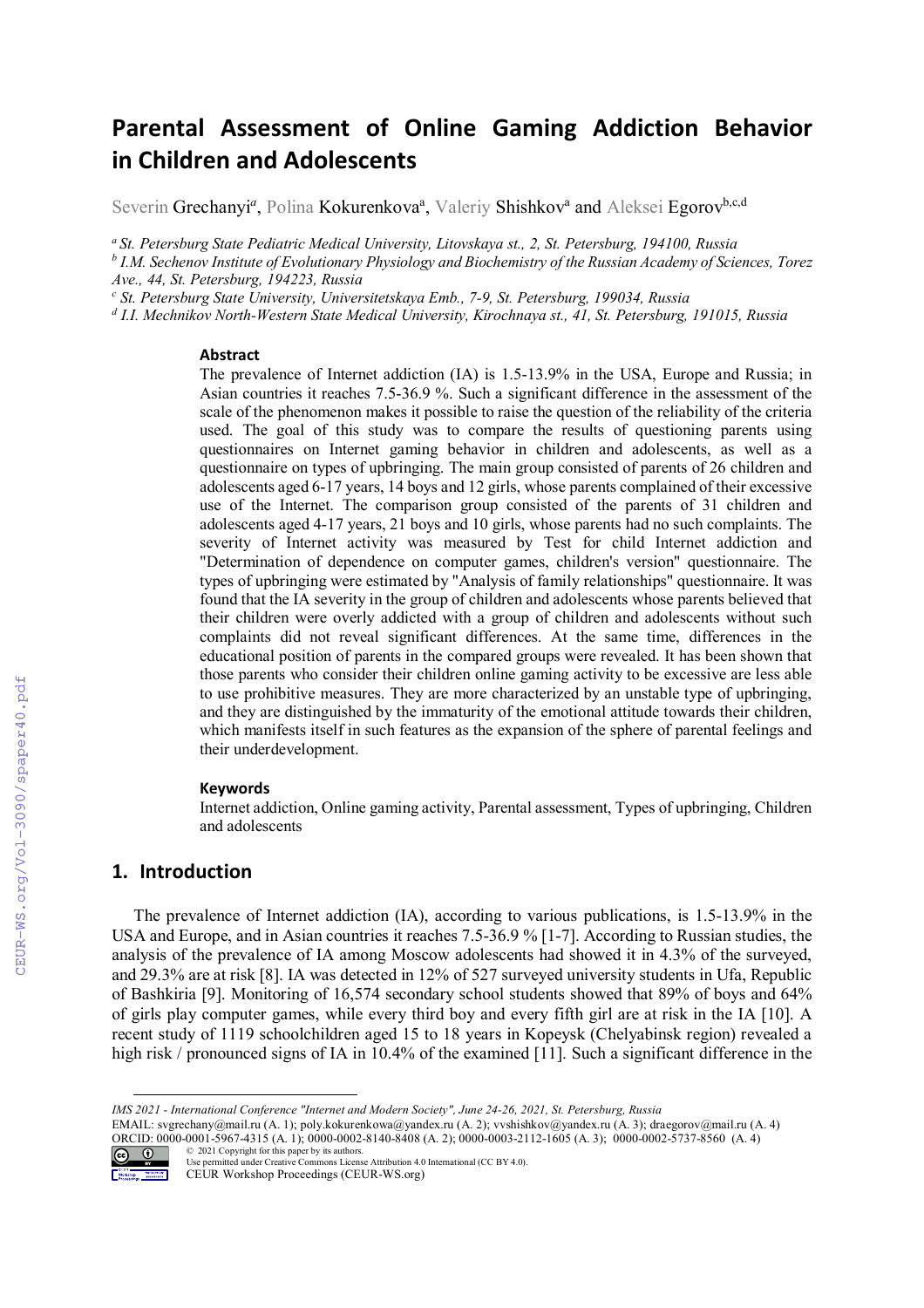# **Parental Assessment of Online Gaming Addiction Behavior in Children and Adolescents**

Severin Grechanyi<sup>a</sup>, Polina Kokurenkova<sup>a</sup>, Valeriy Shishkov<sup>a</sup> and Aleksei Egorov<sup>b,c,d</sup>

*<sup>a</sup>St. Petersburg State Pediatric Medical University, Litovskaya st., 2, St. Petersburg, 194100, Russia* 

*b I.M. Sechenov Institute of Evolutionary Physiology and Biochemistry of the Russian Academy of Sciences, Torez Ave., 44, St. Petersburg, 194223, Russia* 

*c St. Petersburg State University, Universitetskaya Emb., 7-9, St. Petersburg, 199034, Russia* 

*d I.I. Mechnikov North-Western State Medical University, Kirochnaya st., 41, St. Petersburg, 191015, Russia*

#### **Abstract**

The prevalence of Internet addiction (IA) is 1.5-13.9% in the USA, Europe and Russia; in Asian countries it reaches 7.5-36.9 %. Such a significant difference in the assessment of the scale of the phenomenon makes it possible to raise the question of the reliability of the criteria used. The goal of this study was to compare the results of questioning parents using questionnaires on Internet gaming behavior in children and adolescents, as well as a questionnaire on types of upbringing. The main group consisted of parents of 26 children and adolescents aged 6-17 years, 14 boys and 12 girls, whose parents complained of their excessive use of the Internet. The comparison group consisted of the parents of 31 children and adolescents aged 4-17 years, 21 boys and 10 girls, whose parents had no such complaints. The severity of Internet activity was measured by Test for child Internet addiction and "Determination of dependence on computer games, children's version" questionnaire. The types of upbringing were estimated by "Analysis of family relationships" questionnaire. It was found that the IA severity in the group of children and adolescents whose parents believed that their children were overly addicted with a group of children and adolescents without such complaints did not reveal significant differences. At the same time, differences in the educational position of parents in the compared groups were revealed. It has been shown that those parents who consider their children online gaming activity to be excessive are less able to use prohibitive measures. They are more characterized by an unstable type of upbringing, and they are distinguished by the immaturity of the emotional attitude towards their children, which manifests itself in such features as the expansion of the sphere of parental feelings and their underdevelopment.

#### **Keywords**

Internet addiction, Online gaming activity, Parental assessment, Types of upbringing, Children and adolescents

## **1. Introduction**

The prevalence of Internet addiction (IA), according to various publications, is 1.5-13.9% in the USA and Europe, and in Asian countries it reaches 7.5-36.9 % [1-7]. According to Russian studies, the analysis of the prevalence of IA among Moscow adolescents had showed it in 4.3% of the surveyed, and 29.3% are at risk [8]. IA was detected in 12% of 527 surveyed university students in Ufa, Republic of Bashkiria [9]. Monitoring of 16,574 secondary school students showed that 89% of boys and 64% of girls play computer games, while every third boy and every fifth girl are at risk in the IA [10]. A recent study of 1119 schoolchildren aged 15 to 18 years in Kopeysk (Chelyabinsk region) revealed a high risk / pronounced signs of IA in 10.4% of the examined [11]. Such a significant difference in the

EMAIL: svgrechany@mail.ru (A. 1); poly.kokurenkowa@yandex.ru (A. 2); vvshishkov@yandex.ru (A. 3); draegorov@mail.ru (A. 4) ORCID: 0000-0001-5967-4315 (A. 1); 0000-0002-8140-8408 (A. 2); 0000-0003-2112-1605 (A. 3); 0000-0002-5737-8560 (A. 4) © 2021 Copyright for this paper by its authors.



Use permitted under Creative Commons License Attribution 4.0 International (CC BY 4.0).

CEUR Workshop Proceedings (CEUR-WS.org)

*IMS 2021 - International Conference "Internet and Modern Society", June 24-26, 2021, St. Petersburg, Russia*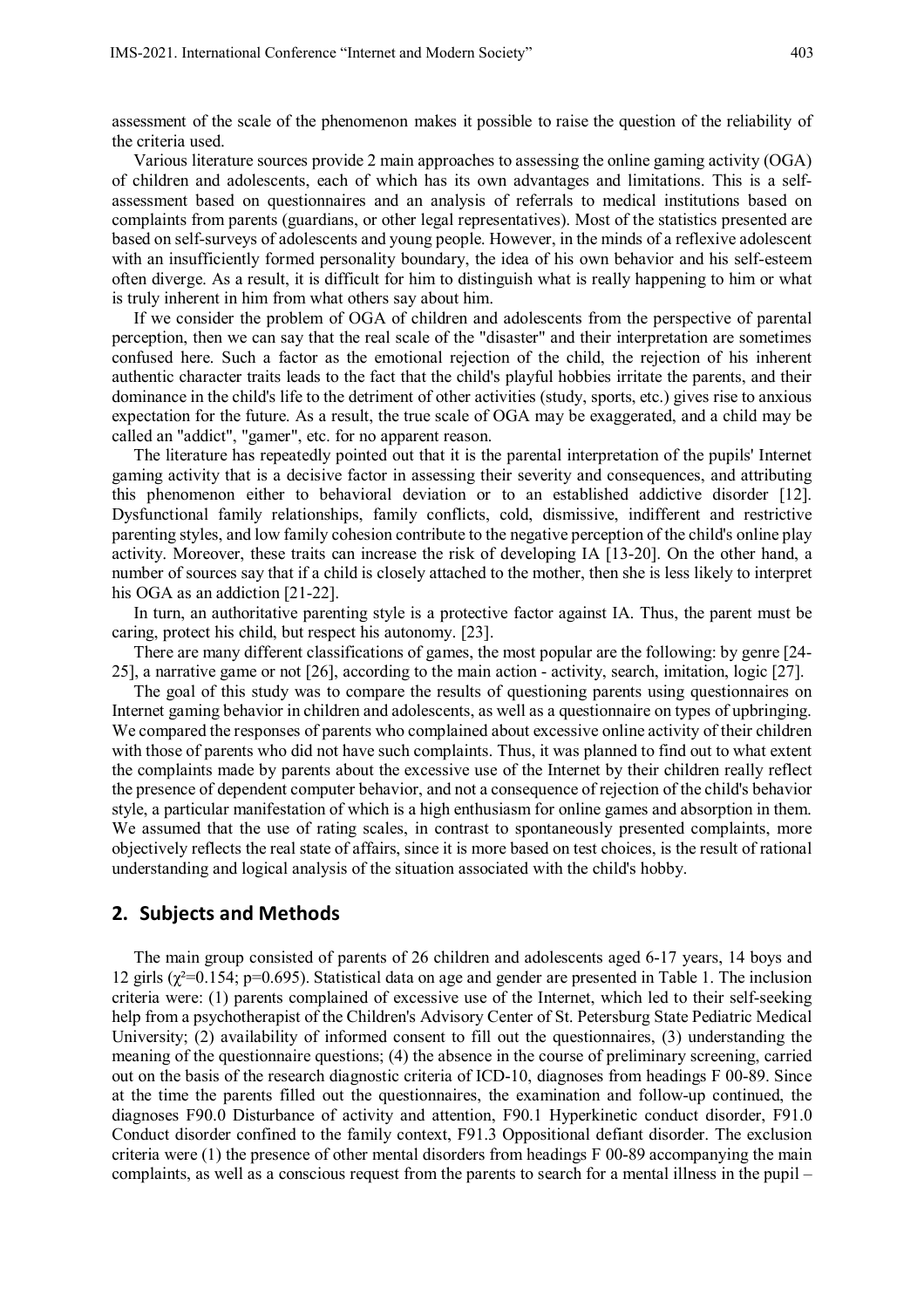assessment of the scale of the phenomenon makes it possible to raise the question of the reliability of the criteria used.

Various literature sources provide 2 main approaches to assessing the online gaming activity (OGA) of children and adolescents, each of which has its own advantages and limitations. This is a selfassessment based on questionnaires and an analysis of referrals to medical institutions based on complaints from parents (guardians, or other legal representatives). Most of the statistics presented are based on self-surveys of adolescents and young people. However, in the minds of a reflexive adolescent with an insufficiently formed personality boundary, the idea of his own behavior and his self-esteem often diverge. As a result, it is difficult for him to distinguish what is really happening to him or what is truly inherent in him from what others say about him.

If we consider the problem of OGA of children and adolescents from the perspective of parental perception, then we can say that the real scale of the "disaster" and their interpretation are sometimes confused here. Such a factor as the emotional rejection of the child, the rejection of his inherent authentic character traits leads to the fact that the child's playful hobbies irritate the parents, and their dominance in the child's life to the detriment of other activities (study, sports, etc.) gives rise to anxious expectation for the future. As a result, the true scale of OGA may be exaggerated, and a child may be called an "addict", "gamer", etc. for no apparent reason.

The literature has repeatedly pointed out that it is the parental interpretation of the pupils' Internet gaming activity that is a decisive factor in assessing their severity and consequences, and attributing this phenomenon either to behavioral deviation or to an established addictive disorder [12]. Dysfunctional family relationships, family conflicts, cold, dismissive, indifferent and restrictive parenting styles, and low family cohesion contribute to the negative perception of the child's online play activity. Moreover, these traits can increase the risk of developing IA [13-20]. On the other hand, a number of sources say that if a child is closely attached to the mother, then she is less likely to interpret his OGA as an addiction [21-22].

In turn, an authoritative parenting style is a protective factor against IA. Thus, the parent must be caring, protect his child, but respect his autonomy. [23].

There are many different classifications of games, the most popular are the following: by genre [24- 25], a narrative game or not [26], according to the main action - activity, search, imitation, logic [27].

The goal of this study was to compare the results of questioning parents using questionnaires on Internet gaming behavior in children and adolescents, as well as a questionnaire on types of upbringing. We compared the responses of parents who complained about excessive online activity of their children with those of parents who did not have such complaints. Thus, it was planned to find out to what extent the complaints made by parents about the excessive use of the Internet by their children really reflect the presence of dependent computer behavior, and not a consequence of rejection of the child's behavior style, a particular manifestation of which is a high enthusiasm for online games and absorption in them. We assumed that the use of rating scales, in contrast to spontaneously presented complaints, more objectively reflects the real state of affairs, since it is more based on test choices, is the result of rational understanding and logical analysis of the situation associated with the child's hobby.

# **2. Subjects and Methods**

The main group consisted of parents of 26 children and adolescents aged 6-17 years, 14 boys and 12 girls ( $\chi^2$ =0.154; p=0.695). Statistical data on age and gender are presented in Table 1. The inclusion criteria were: (1) parents complained of excessive use of the Internet, which led to their self-seeking help from a psychotherapist of the Children's Advisory Center of St. Petersburg State Pediatric Medical University; (2) availability of informed consent to fill out the questionnaires, (3) understanding the meaning of the questionnaire questions; (4) the absence in the course of preliminary screening, carried out on the basis of the research diagnostic criteria of ICD-10, diagnoses from headings F 00-89. Since at the time the parents filled out the questionnaires, the examination and follow-up continued, the diagnoses F90.0 Disturbance of activity and attention, F90.1 Hyperkinetic conduct disorder, F91.0 Conduct disorder confined to the family context, F91.3 Oppositional defiant disorder. The exclusion criteria were (1) the presence of other mental disorders from headings F 00-89 accompanying the main complaints, as well as a conscious request from the parents to search for a mental illness in the pupil –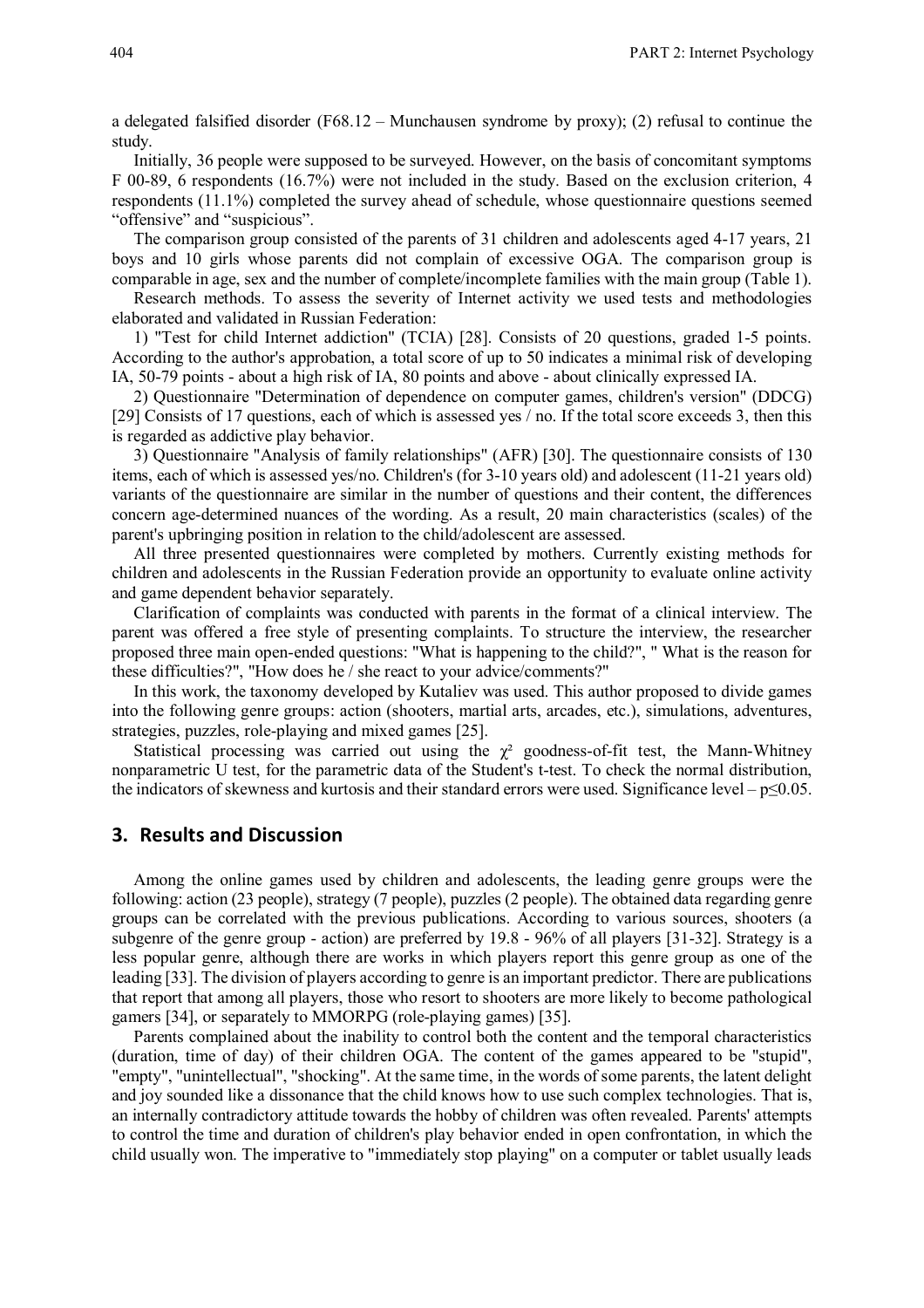a delegated falsified disorder (F68.12 – Munchausen syndrome by proxy); (2) refusal to continue the study.

Initially, 36 people were supposed to be surveyed. However, on the basis of concomitant symptoms F 00-89, 6 respondents (16.7%) were not included in the study. Based on the exclusion criterion, 4 respondents (11.1%) completed the survey ahead of schedule, whose questionnaire questions seemed "offensive" and "suspicious".

The comparison group consisted of the parents of 31 children and adolescents aged 4-17 years, 21 boys and 10 girls whose parents did not complain of excessive OGA. The comparison group is comparable in age, sex and the number of complete/incomplete families with the main group (Table 1).

Research methods. To assess the severity of Internet activity we used tests and methodologies elaborated and validated in Russian Federation:

1) "Test for child Internet addiction" (TCIA) [28]. Consists of 20 questions, graded 1-5 points. According to the author's approbation, a total score of up to 50 indicates a minimal risk of developing IA, 50-79 points - about a high risk of IA, 80 points and above - about clinically expressed IA.

2) Questionnaire "Determination of dependence on computer games, children's version" (DDCG) [29] Consists of 17 questions, each of which is assessed yes / no. If the total score exceeds 3, then this is regarded as addictive play behavior.

3) Questionnaire "Analysis of family relationships" (AFR) [30]. The questionnaire consists of 130 items, each of which is assessed yes/no. Children's (for 3-10 years old) and adolescent (11-21 years old) variants of the questionnaire are similar in the number of questions and their content, the differences concern age-determined nuances of the wording. As a result, 20 main characteristics (scales) of the parent's upbringing position in relation to the child/adolescent are assessed.

All three presented questionnaires were completed by mothers. Currently existing methods for children and adolescents in the Russian Federation provide an opportunity to evaluate online activity and game dependent behavior separately.

Clarification of complaints was conducted with parents in the format of a clinical interview. The parent was offered a free style of presenting complaints. To structure the interview, the researcher proposed three main open-ended questions: "What is happening to the child?", " What is the reason for these difficulties?", "How does he / she react to your advice/comments?"

In this work, the taxonomy developed by Kutaliev was used. This author proposed to divide games into the following genre groups: action (shooters, martial arts, arcades, etc.), simulations, adventures, strategies, puzzles, role-playing and mixed games [25].

Statistical processing was carried out using the  $\chi^2$  goodness-of-fit test, the Mann-Whitney nonparametric U test, for the parametric data of the Student's t-test. To check the normal distribution, the indicators of skewness and kurtosis and their standard errors were used. Significance level –  $p \le 0.05$ .

# **3. Results and Discussion**

Among the online games used by children and adolescents, the leading genre groups were the following: action (23 people), strategy (7 people), puzzles (2 people). The obtained data regarding genre groups can be correlated with the previous publications. According to various sources, shooters (a subgenre of the genre group - action) are preferred by 19.8 - 96% of all players [31-32]. Strategy is a less popular genre, although there are works in which players report this genre group as one of the leading [33]. The division of players according to genre is an important predictor. There are publications that report that among all players, those who resort to shooters are more likely to become pathological gamers [34], or separately to MMORPG (role-playing games) [35].

Parents complained about the inability to control both the content and the temporal characteristics (duration, time of day) of their children OGA. The content of the games appeared to be "stupid", "empty", "unintellectual", "shocking". At the same time, in the words of some parents, the latent delight and joy sounded like a dissonance that the child knows how to use such complex technologies. That is, an internally contradictory attitude towards the hobby of children was often revealed. Parents' attempts to control the time and duration of children's play behavior ended in open confrontation, in which the child usually won. The imperative to "immediately stop playing" on a computer or tablet usually leads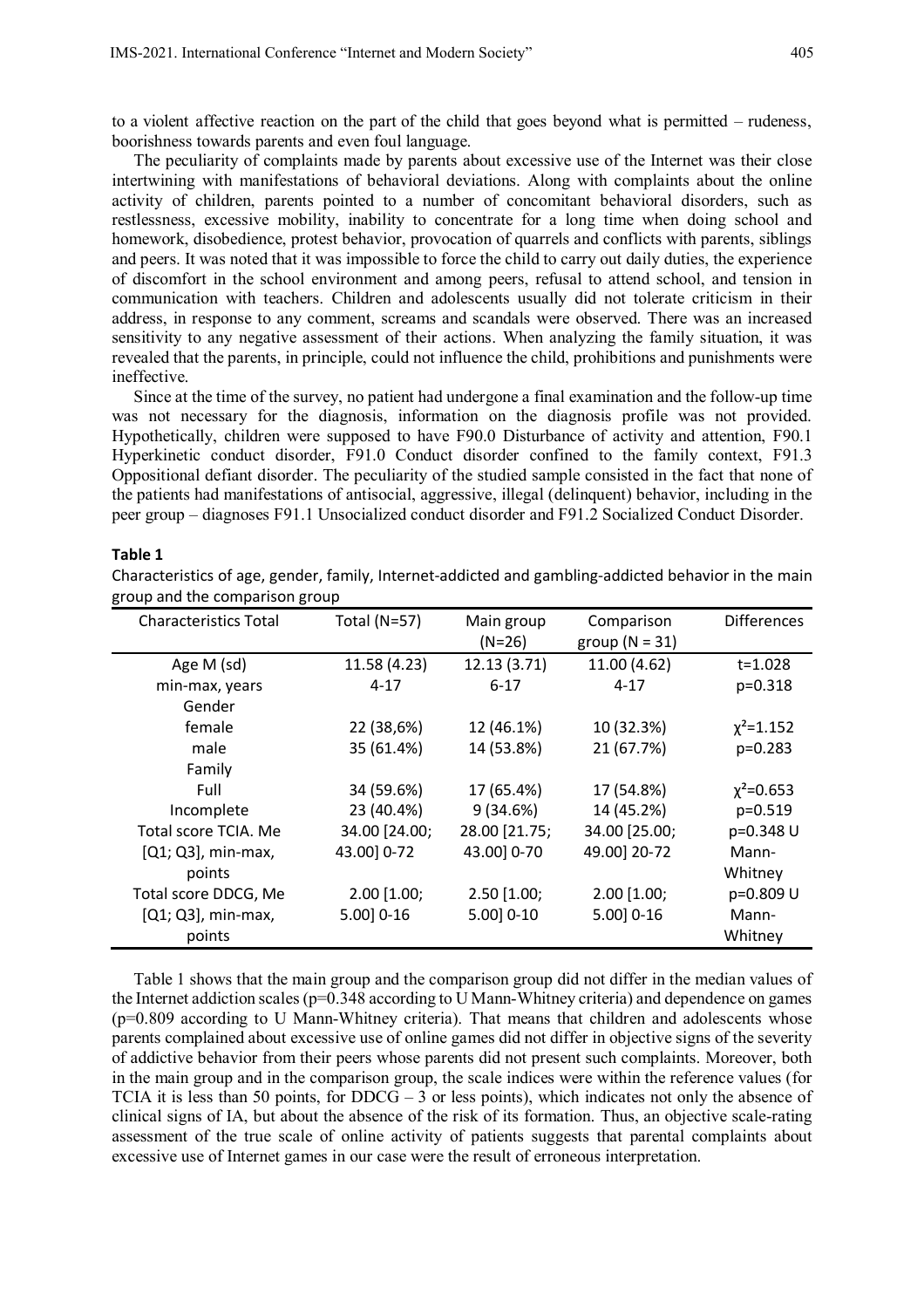to a violent affective reaction on the part of the child that goes beyond what is permitted – rudeness, boorishness towards parents and even foul language.

The peculiarity of complaints made by parents about excessive use of the Internet was their close intertwining with manifestations of behavioral deviations. Along with complaints about the online activity of children, parents pointed to a number of concomitant behavioral disorders, such as restlessness, excessive mobility, inability to concentrate for a long time when doing school and homework, disobedience, protest behavior, provocation of quarrels and conflicts with parents, siblings and peers. It was noted that it was impossible to force the child to carry out daily duties, the experience of discomfort in the school environment and among peers, refusal to attend school, and tension in communication with teachers. Children and adolescents usually did not tolerate criticism in their address, in response to any comment, screams and scandals were observed. There was an increased sensitivity to any negative assessment of their actions. When analyzing the family situation, it was revealed that the parents, in principle, could not influence the child, prohibitions and punishments were ineffective.

Since at the time of the survey, no patient had undergone a final examination and the follow-up time was not necessary for the diagnosis, information on the diagnosis profile was not provided. Hypothetically, children were supposed to have F90.0 Disturbance of activity and attention, F90.1 Hyperkinetic conduct disorder, F91.0 Conduct disorder confined to the family context, F91.3 Oppositional defiant disorder. The peculiarity of the studied sample consisted in the fact that none of the patients had manifestations of antisocial, aggressive, illegal (delinquent) behavior, including in the peer group – diagnoses F91.1 Unsocialized conduct disorder and F91.2 Socialized Conduct Disorder.

#### **Table 1**

Characteristics of age, gender, family, Internet-addicted and gambling-addicted behavior in the main group and the comparison group

| <b>Characteristics Total</b> | <b>Total (N=57)</b> | Main group<br>$(N=26)$ | Comparison<br>group ( $N = 31$ ) | <b>Differences</b> |
|------------------------------|---------------------|------------------------|----------------------------------|--------------------|
| Age M (sd)                   | 11.58 (4.23)        | 12.13 (3.71)           | 11.00 (4.62)                     | t=1.028            |
| min-max, years               | $4 - 17$            | $6 - 17$               | $4 - 17$                         | $p = 0.318$        |
| Gender                       |                     |                        |                                  |                    |
| female                       | 22 (38,6%)          | 12 (46.1%)             | 10 (32.3%)                       | $\chi^2$ =1.152    |
| male                         | 35 (61.4%)          | 14 (53.8%)             | 21 (67.7%)                       | $p=0.283$          |
| Family                       |                     |                        |                                  |                    |
| Full                         | 34 (59.6%)          | 17 (65.4%)             | 17 (54.8%)                       | $\chi^2$ =0.653    |
| Incomplete                   | 23 (40.4%)          | 9(34.6%)               | 14 (45.2%)                       | $p = 0.519$        |
| Total score TCIA. Me         | 34.00 [24.00;       | 28.00 [21.75;          | 34.00 [25.00;                    | p=0.348 U          |
| $[Q1; Q3]$ , min-max,        | 43.00 0-72          | 43.00 0-70             | 49.00] 20-72                     | Mann-              |
| points                       |                     |                        |                                  | Whitney            |
| Total score DDCG, Me         | $2.00$ [1.00;       | $2.50$ [1.00;          | $2.00$ [1.00;                    | p=0.809 U          |
| $[Q1; Q3]$ , min-max,        | $5.00]$ 0-16        | $5.00] 0-10$           | $5.00]$ 0-16                     | Mann-              |
| points                       |                     |                        |                                  | Whitney            |

Table 1 shows that the main group and the comparison group did not differ in the median values of the Internet addiction scales ( $p=0.348$  according to U Mann-Whitney criteria) and dependence on games (p=0.809 according to U Mann-Whitney criteria). That means that children and adolescents whose parents complained about excessive use of online games did not differ in objective signs of the severity of addictive behavior from their peers whose parents did not present such complaints. Moreover, both in the main group and in the comparison group, the scale indices were within the reference values (for TCIA it is less than 50 points, for  $DDCG - 3$  or less points), which indicates not only the absence of clinical signs of IA, but about the absence of the risk of its formation. Thus, an objective scale-rating assessment of the true scale of online activity of patients suggests that parental complaints about excessive use of Internet games in our case were the result of erroneous interpretation.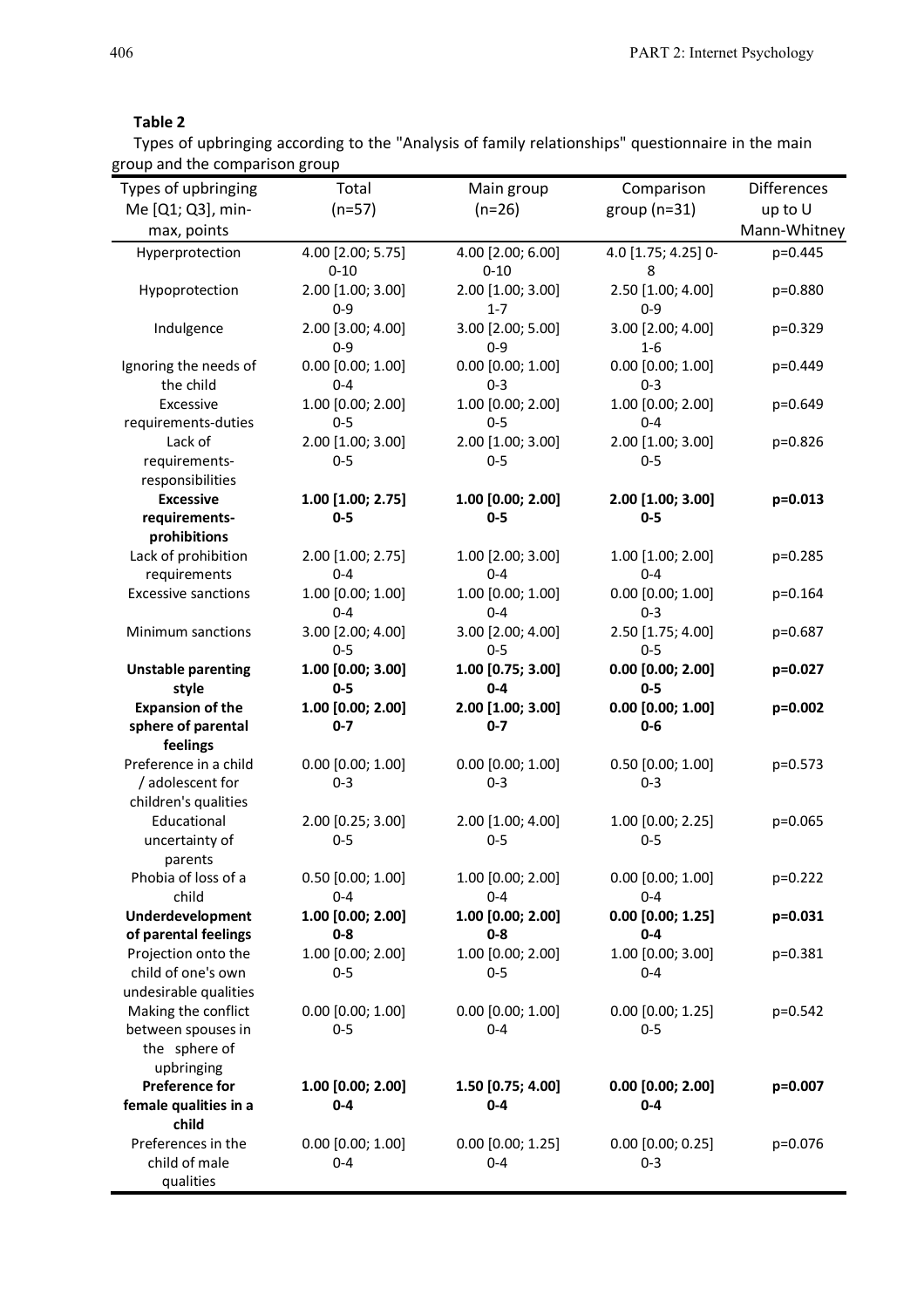# **Table 2**

Types of upbringing according to the "Analysis of family relationships" questionnaire in the main group and the comparison group

| Types of upbringing                         | Total                         | Main group                    | Comparison                       | <b>Differences</b> |
|---------------------------------------------|-------------------------------|-------------------------------|----------------------------------|--------------------|
| Me [Q1; Q3], min-                           | $(n=57)$                      | $(n=26)$                      | group ( $n=31$ )                 | up to U            |
| max, points                                 |                               |                               |                                  | Mann-Whitney       |
|                                             |                               |                               | 4.0 [1.75; 4.25] 0-              | p=0.445            |
| Hyperprotection                             | 4.00 [2.00; 5.75]<br>$0 - 10$ | 4.00 [2.00; 6.00]<br>$0 - 10$ | $\overline{\phantom{0}}$ 8       |                    |
| Hypoprotection                              | 2.00 [1.00; 3.00]             | 2.00 [1.00; 3.00]             | 2.50 [1.00; 4.00]                | p=0.880            |
|                                             | $0 - 9$                       | $1 - 7$                       | $0-9$                            |                    |
| Indulgence                                  | 2.00 [3.00; 4.00]             | 3.00 [2.00; 5.00]             | 3.00 [2.00; 4.00]                | p=0.329            |
|                                             | $0 - 9$                       | $0-9$                         | $1-6$                            |                    |
| Ignoring the needs of                       | $0.00$ $[0.00; 1.00]$         | $0.00$ [0.00; 1.00]           | $0.00$ [0.00; 1.00]              | p=0.449            |
| the child                                   | $0 - 4$                       | $0 - 3$                       | $0 - 3$                          |                    |
| Excessive                                   | 1.00 [0.00; 2.00]             | 1.00 [0.00; 2.00]             | 1.00 [0.00; 2.00]                | p=0.649            |
| requirements-duties                         | $0 - 5$                       | $0 - 5$                       | $0 - 4$                          |                    |
| Lack of                                     | 2.00 [1.00; 3.00]             | 2.00 [1.00; 3.00]             | 2.00 [1.00; 3.00]                | p=0.826            |
| requirements-                               | $0-5$                         | $0-5$                         | $0-5$                            |                    |
| responsibilities                            |                               |                               |                                  |                    |
| <b>Excessive</b>                            | $1.00$ [1.00; 2.75]           | $1.00$ [0.00; 2.00]           | 2.00 [1.00; 3.00]                | p=0.013            |
| requirements-                               | $0-5$                         | $0-5$                         | $0-5$                            |                    |
| prohibitions                                |                               |                               |                                  |                    |
| Lack of prohibition                         | 2.00 [1.00; 2.75]             | 1.00 [2.00; 3.00]             | $1.00$ [1.00; 2.00]              | p=0.285            |
| requirements                                | $0 - 4$                       | $0 - 4$                       | $0 - 4$                          |                    |
| <b>Excessive sanctions</b>                  | 1.00 [0.00; 1.00]             | 1.00 [0.00; 1.00]             | $0.00$ $[0.00; 1.00]$            | $p=0.164$          |
|                                             | $0 - 4$                       | $0 - 4$                       | $0 - 3$                          |                    |
| Minimum sanctions                           | 3.00 [2.00; 4.00]             | 3.00 [2.00; 4.00]             | 2.50 [1.75; 4.00]                | p=0.687            |
|                                             | $0 - 5$                       | $0-5$                         | $0-5$                            |                    |
| <b>Unstable parenting</b>                   | $1.00$ [0.00; 3.00]           | 1.00 [0.75; 3.00]             | $0.00$ $[0.00; 2.00]$            | p=0.027            |
| style                                       | $0 - 5$                       | $0 - 4$                       | $0-5$                            |                    |
| <b>Expansion of the</b>                     | 1.00 [0.00; 2.00]             | 2.00 [1.00; 3.00]             | $0.00$ [0.00; 1.00]              | p=0.002            |
| sphere of parental                          | $0 - 7$                       | $0 - 7$                       | $0-6$                            |                    |
| feelings                                    |                               |                               |                                  |                    |
| Preference in a child                       | $0.00$ $[0.00; 1.00]$         | $0.00$ [0.00; 1.00]           | $0.50$ [0.00; 1.00]              | p=0.573            |
| / adolescent for                            | $0 - 3$                       | $0 - 3$                       | $0 - 3$                          |                    |
| children's qualities                        |                               |                               |                                  |                    |
| Educational                                 | 2.00 [0.25; 3.00]             | 2.00 [1.00; 4.00]             | 1.00 [0.00; 2.25]                | p=0.065            |
| uncertainty of                              | $0 - 5$                       | $0 - 5$                       | $0 - 5$                          |                    |
| parents                                     |                               |                               |                                  |                    |
| Phobia of loss of a                         | $0.50$ $[0.00; 1.00]$         | 1.00 [0.00; 2.00]             | $0.00$ $[0.00; 1.00]$            | p=0.222            |
| child                                       | $0 - 4$                       | $0 - 4$                       | $0 - 4$                          |                    |
| Underdevelopment                            | 1.00 [0.00; 2.00]             | 1.00 [0.00; 2.00]<br>$0 - 8$  | $0.00$ $[0.00; 1.25]$<br>$0 - 4$ | p=0.031            |
| of parental feelings<br>Projection onto the | $0 - 8$<br>1.00 [0.00; 2.00]  | 1.00 [0.00; 2.00]             | 1.00 [0.00; 3.00]                |                    |
| child of one's own                          | $0 - 5$                       | $0 - 5$                       | $0 - 4$                          | p=0.381            |
| undesirable qualities                       |                               |                               |                                  |                    |
| Making the conflict                         | $0.00$ $[0.00; 1.00]$         | $0.00$ $[0.00; 1.00]$         | $0.00$ [0.00; 1.25]              | p=0.542            |
| between spouses in                          | $0 - 5$                       | $0 - 4$                       | $0 - 5$                          |                    |
| the sphere of                               |                               |                               |                                  |                    |
| upbringing                                  |                               |                               |                                  |                    |
| <b>Preference for</b>                       | 1.00 [0.00; 2.00]             | 1.50 [0.75; 4.00]             | $0.00$ $[0.00; 2.00]$            | p=0.007            |
| female qualities in a                       | $0 - 4$                       | $0 - 4$                       | $0-4$                            |                    |
| child                                       |                               |                               |                                  |                    |
| Preferences in the                          | $0.00$ $[0.00; 1.00]$         | $0.00$ [0.00; 1.25]           | $0.00$ [0.00; 0.25]              | p=0.076            |
| child of male                               | $0 - 4$                       | $0 - 4$                       | $0 - 3$                          |                    |
| qualities                                   |                               |                               |                                  |                    |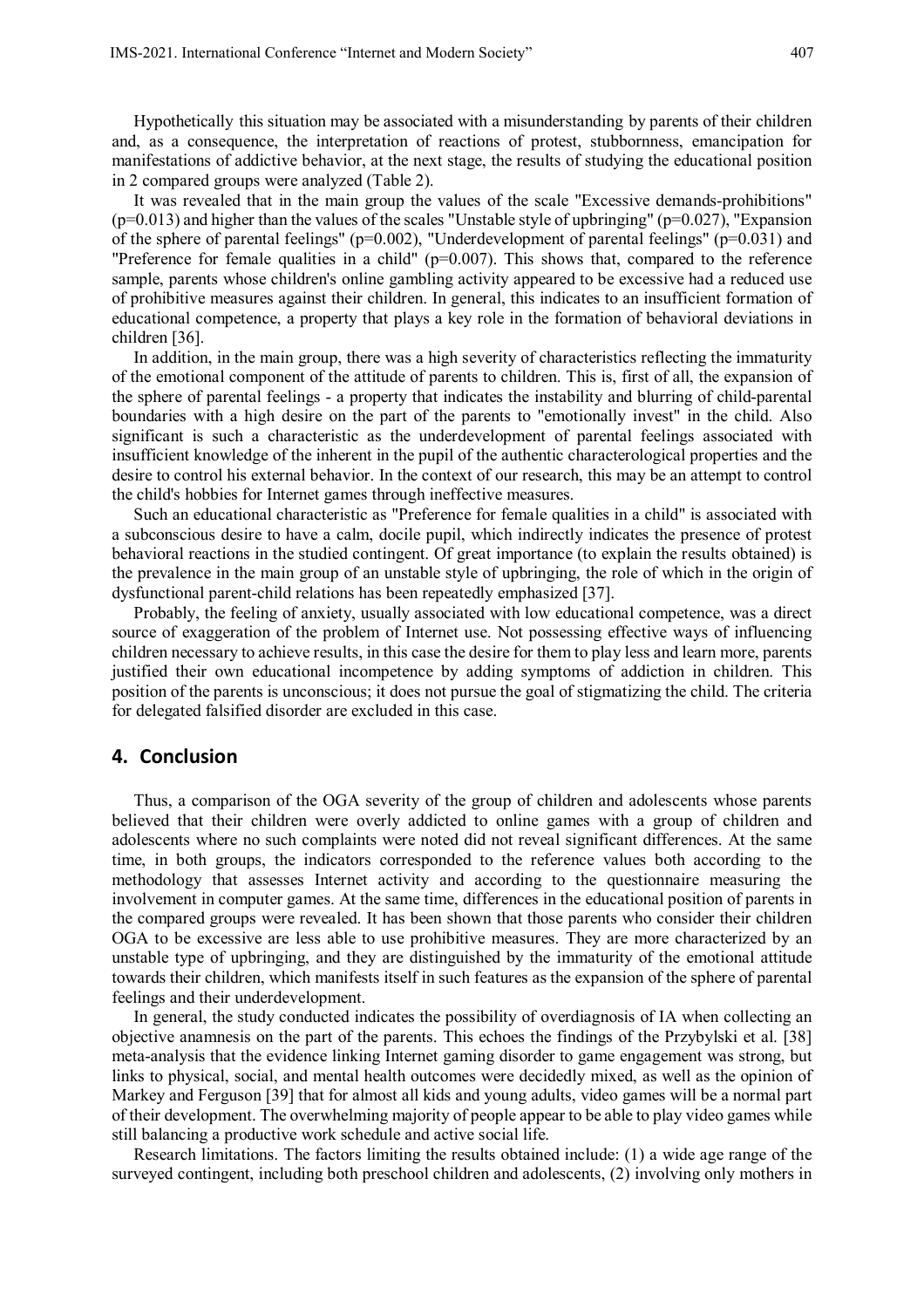Hypothetically this situation may be associated with a misunderstanding by parents of their children and, as a consequence, the interpretation of reactions of protest, stubbornness, emancipation for manifestations of addictive behavior, at the next stage, the results of studying the educational position in 2 compared groups were analyzed (Table 2).

It was revealed that in the main group the values of the scale "Excessive demands-prohibitions"  $(p=0.013)$  and higher than the values of the scales "Unstable style of upbringing" ( $p=0.027$ ), "Expansion of the sphere of parental feelings" ( $p=0.002$ ), "Underdevelopment of parental feelings" ( $p=0.031$ ) and "Preference for female qualities in a child" ( $p=0.007$ ). This shows that, compared to the reference sample, parents whose children's online gambling activity appeared to be excessive had a reduced use of prohibitive measures against their children. In general, this indicates to an insufficient formation of educational competence, a property that plays a key role in the formation of behavioral deviations in children [36].

In addition, in the main group, there was a high severity of characteristics reflecting the immaturity of the emotional component of the attitude of parents to children. This is, first of all, the expansion of the sphere of parental feelings - a property that indicates the instability and blurring of child-parental boundaries with a high desire on the part of the parents to "emotionally invest" in the child. Also significant is such a characteristic as the underdevelopment of parental feelings associated with insufficient knowledge of the inherent in the pupil of the authentic characterological properties and the desire to control his external behavior. In the context of our research, this may be an attempt to control the child's hobbies for Internet games through ineffective measures.

Such an educational characteristic as "Preference for female qualities in a child" is associated with a subconscious desire to have a calm, docile pupil, which indirectly indicates the presence of protest behavioral reactions in the studied contingent. Of great importance (to explain the results obtained) is the prevalence in the main group of an unstable style of upbringing, the role of which in the origin of dysfunctional parent-child relations has been repeatedly emphasized [37].

Probably, the feeling of anxiety, usually associated with low educational competence, was a direct source of exaggeration of the problem of Internet use. Not possessing effective ways of influencing children necessary to achieve results, in this case the desire for them to play less and learn more, parents justified their own educational incompetence by adding symptoms of addiction in children. This position of the parents is unconscious; it does not pursue the goal of stigmatizing the child. The criteria for delegated falsified disorder are excluded in this case.

## **4. Conclusion**

Thus, a comparison of the OGA severity of the group of children and adolescents whose parents believed that their children were overly addicted to online games with a group of children and adolescents where no such complaints were noted did not reveal significant differences. At the same time, in both groups, the indicators corresponded to the reference values both according to the methodology that assesses Internet activity and according to the questionnaire measuring the involvement in computer games. At the same time, differences in the educational position of parents in the compared groups were revealed. It has been shown that those parents who consider their children OGA to be excessive are less able to use prohibitive measures. They are more characterized by an unstable type of upbringing, and they are distinguished by the immaturity of the emotional attitude towards their children, which manifests itself in such features as the expansion of the sphere of parental feelings and their underdevelopment.

In general, the study conducted indicates the possibility of overdiagnosis of IA when collecting an objective anamnesis on the part of the parents. This echoes the findings of the Przybylski et al. [38] meta-analysis that the evidence linking Internet gaming disorder to game engagement was strong, but links to physical, social, and mental health outcomes were decidedly mixed, as well as the opinion of Markey and Ferguson [39] that for almost all kids and young adults, video games will be a normal part of their development. The overwhelming majority of people appear to be able to play video games while still balancing a productive work schedule and active social life.

Research limitations. The factors limiting the results obtained include: (1) a wide age range of the surveyed contingent, including both preschool children and adolescents, (2) involving only mothers in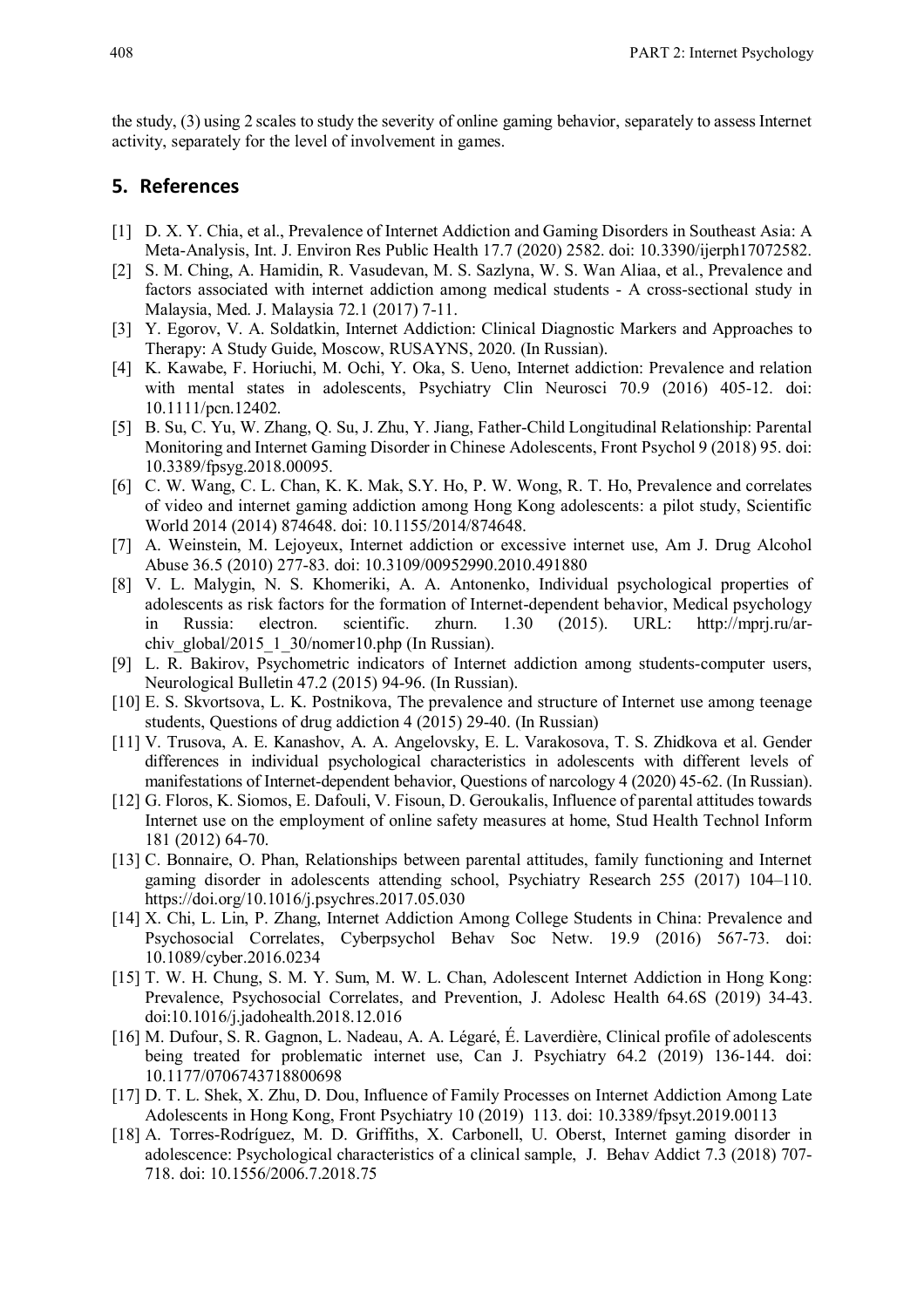the study, (3) using 2 scales to study the severity of online gaming behavior, separately to assess Internet activity, separately for the level of involvement in games.

## **5. References**

- [1] D. X. Y. Chia, et al., Prevalence of Internet Addiction and Gaming Disorders in Southeast Asia: A Meta-Analysis, Int. J. Environ Res Public Health 17.7 (2020) 2582. doi: 10.3390/ijerph17072582.
- [2] S. M. Ching, A. Hamidin, R. Vasudevan, M. S. Sazlyna, W. S. Wan Aliaa, et al., Prevalence and factors associated with internet addiction among medical students - A cross-sectional study in Malaysia, Med. J. Malaysia 72.1 (2017) 7-11.
- [3] Y. Egorov, V. A. Soldatkin, Internet Addiction: Clinical Diagnostic Markers and Approaches to Therapy: A Study Guide, Moscow, RUSAYNS, 2020. (In Russian).
- [4] K. Kawabe, F. Horiuchi, M. Ochi, Y. Oka, S. Ueno, Internet addiction: Prevalence and relation with mental states in adolescents, Psychiatry Clin Neurosci 70.9 (2016) 405-12. doi: 10.1111/pcn.12402.
- [5] B. Su, C. Yu, W. Zhang, Q. Su, J. Zhu, Y. Jiang, Father-Child Longitudinal Relationship: Parental Monitoring and Internet Gaming Disorder in Chinese Adolescents, Front Psychol 9 (2018) 95. doi: 10.3389/fpsyg.2018.00095.
- [6] C. W. Wang, C. L. Chan, K. K. Mak, S.Y. Ho, P. W. Wong, R. T. Ho, Prevalence and correlates of video and internet gaming addiction among Hong Kong adolescents: a pilot study, Scientific World 2014 (2014) 874648. doi: 10.1155/2014/874648.
- [7] A. Weinstein, M. Lejoyeux, Internet addiction or excessive internet use, Am J. Drug Alcohol Abuse 36.5 (2010) 277-83. doi: 10.3109/00952990.2010.491880
- [8] V. L. Malygin, N. S. Khomeriki, A. A. Antonenko, Individual psychological properties of adolescents as risk factors for the formation of Internet-dependent behavior, Medical psychology in Russia: electron. scientific. zhurn. 1.30 (2015). URL: http://mprj.ru/archiv\_global/2015\_1\_30/nomer10.php (In Russian).
- [9] L. R. Bakirov, Psychometric indicators of Internet addiction among students-computer users, Neurological Bulletin 47.2 (2015) 94-96. (In Russian).
- [10] E. S. Skvortsova, L. K. Postnikova, The prevalence and structure of Internet use among teenage students, Questions of drug addiction 4 (2015) 29-40. (In Russian)
- [11] V. Trusova, A. E. Kanashov, A. A. Angelovsky, E. L. Varakosova, T. S. Zhidkova et al. Gender differences in individual psychological characteristics in adolescents with different levels of manifestations of Internet-dependent behavior, Questions of narcology 4 (2020) 45-62. (In Russian).
- [12] G. Floros, K. Siomos, E. Dafouli, V. Fisoun, D. Geroukalis, Influence of parental attitudes towards Internet use on the employment of online safety measures at home, Stud Health Technol Inform 181 (2012) 64-70.
- [13] C. Bonnaire, O. Phan, Relationships between parental attitudes, family functioning and Internet gaming disorder in adolescents attending school, Psychiatry Research 255 (2017) 104–110. https://doi.org/10.1016/j.psychres.2017.05.030
- [14] X. Chi, L. Lin, P. Zhang, Internet Addiction Among College Students in China: Prevalence and Psychosocial Correlates, Cyberpsychol Behav Soc Netw. 19.9 (2016) 567-73. doi: 10.1089/cyber.2016.0234
- [15] T. W. H. Chung, S. M. Y. Sum, M. W. L. Chan, Adolescent Internet Addiction in Hong Kong: Prevalence, Psychosocial Correlates, and Prevention, J. Adolesc Health 64.6S (2019) 34-43. doi:10.1016/j.jadohealth.2018.12.016
- [16] M. Dufour, S. R. Gagnon, L. Nadeau, A. A. Légaré, É. Laverdière, Clinical profile of adolescents being treated for problematic internet use, Can J. Psychiatry 64.2 (2019) 136-144. doi: 10.1177/0706743718800698
- [17] D. T. L. Shek, X. Zhu, D. Dou, Influence of Family Processes on Internet Addiction Among Late Adolescents in Hong Kong, Front Psychiatry 10 (2019) 113. doi: 10.3389/fpsyt.2019.00113
- [18] A. Torres-Rodríguez, M. D. Griffiths, X. Carbonell, U. Oberst, Internet gaming disorder in adolescence: Psychological characteristics of a clinical sample, J. Behav Addict 7.3 (2018) 707- 718. doi: 10.1556/2006.7.2018.75